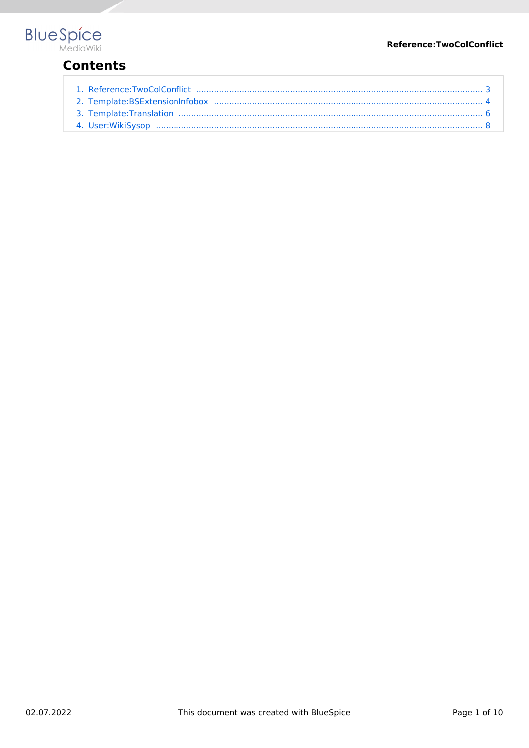#### Reference:TwoColConflict



### **Contents**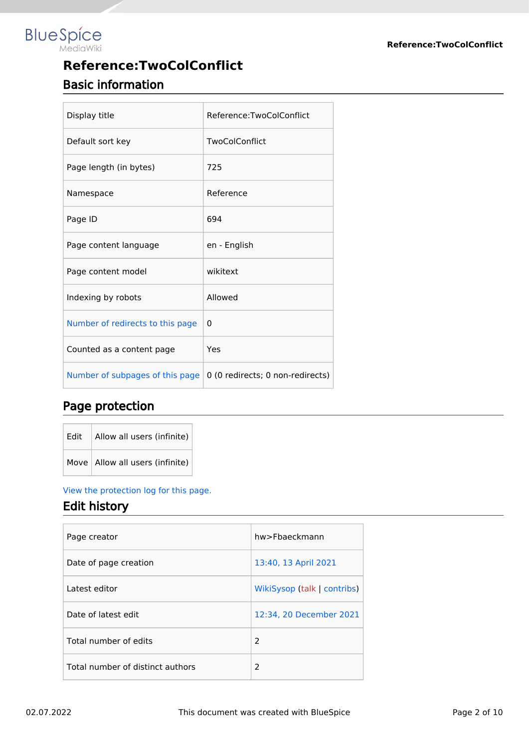# **Blue** Spice

## **Reference:TwoColConflict** Basic information

| Display title                    | Reference:TwoColConflict         |
|----------------------------------|----------------------------------|
| Default sort key                 | TwoColConflict                   |
| Page length (in bytes)           | 725                              |
| Namespace                        | Reference                        |
| Page ID                          | 694                              |
| Page content language            | en - English                     |
| Page content model               | wikitext                         |
| Indexing by robots               | Allowed                          |
| Number of redirects to this page | $\Omega$                         |
| Counted as a content page        | Yes                              |
| Number of subpages of this page  | 0 (0 redirects; 0 non-redirects) |

#### Page protection

| Edit $\vert$ Allow all users (infinite) |
|-----------------------------------------|
| Move   Allow all users (infinite)       |

#### [View the protection log for this page.](https://en.wiki.bluespice.com/w/index.php?title=Special:Log&type=protect&page=Reference%3ATwoColConflict)

#### Edit history

| Page creator                     | hw>Fbaeckmann               |
|----------------------------------|-----------------------------|
| Date of page creation            | 13:40, 13 April 2021        |
| Latest editor                    | WikiSysop (talk   contribs) |
| Date of latest edit              | 12:34, 20 December 2021     |
| Total number of edits            | 2                           |
| Total number of distinct authors | $\mathcal{P}$               |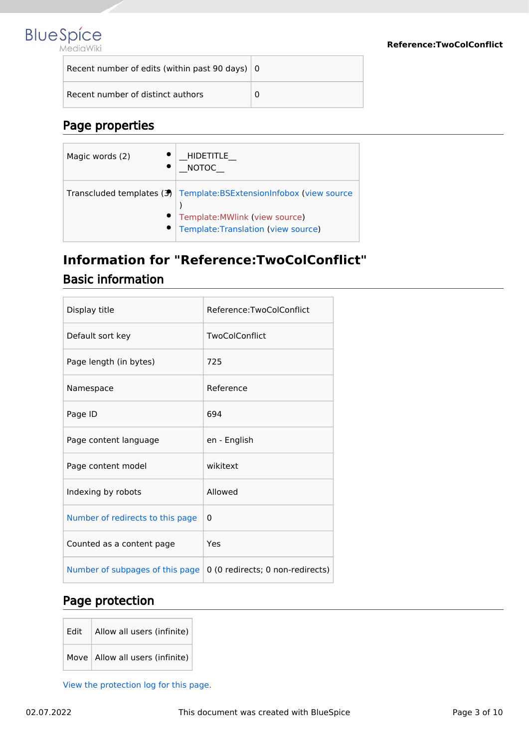

| Recent number of edits (within past 90 days) $\vert$ 0 |  |
|--------------------------------------------------------|--|
| Recent number of distinct authors                      |  |

#### Page properties

| Magic words (2) | <b>HIDETITLE</b><br><b>NOTOC</b>                                                                                                                |
|-----------------|-------------------------------------------------------------------------------------------------------------------------------------------------|
|                 | Transcluded templates $(3)$ Template: BSExtension Infobox (view source<br>Template: MWlink (view source)<br>Template: Translation (view source) |

## <span id="page-2-0"></span>**Information for "Reference:TwoColConflict"** Basic information

| Display title                    | Reference:TwoColConflict         |
|----------------------------------|----------------------------------|
| Default sort key                 | TwoColConflict                   |
| Page length (in bytes)           | 725                              |
| Namespace                        | Reference                        |
| Page ID                          | 694                              |
| Page content language            | en - English                     |
| Page content model               | wikitext                         |
| Indexing by robots               | Allowed                          |
| Number of redirects to this page | $\Omega$                         |
| Counted as a content page        | Yes                              |
| Number of subpages of this page  | 0 (0 redirects; 0 non-redirects) |

#### Page protection

| Edit   Allow all users (infinite) |
|-----------------------------------|
| Move   Allow all users (infinite) |

[View the protection log for this page.](https://en.wiki.bluespice.com/w/index.php?title=Special:Log&type=protect&page=Reference%3ATwoColConflict)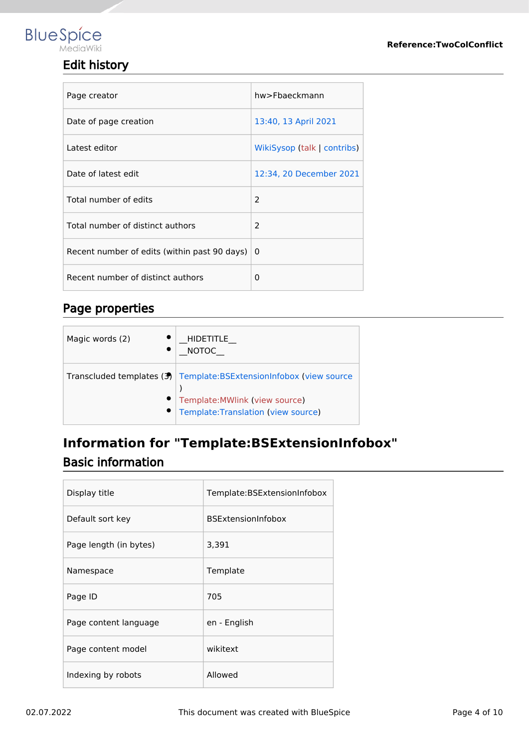#### Edit history

| Page creator                                 | hw>Fbaeckmann               |
|----------------------------------------------|-----------------------------|
| Date of page creation                        | 13:40, 13 April 2021        |
| Latest editor                                | WikiSysop (talk   contribs) |
| Date of latest edit                          | 12:34, 20 December 2021     |
| Total number of edits                        | $\overline{2}$              |
| Total number of distinct authors             | $\mathcal{P}$               |
| Recent number of edits (within past 90 days) | $\Omega$                    |
| Recent number of distinct authors            | 0                           |

#### Page properties

| Magic words (2) | <b>HIDETITLE</b><br><b>NOTOC</b>                                                                                                                |
|-----------------|-------------------------------------------------------------------------------------------------------------------------------------------------|
|                 | Transcluded templates $(3)$ Template: BSExtension Infobox (view source<br>Template: MWlink (view source)<br>Template: Translation (view source) |

# <span id="page-3-0"></span>**Information for "Template:BSExtensionInfobox"** Basic information

| Display title          | Template:BSExtensionInfobox |
|------------------------|-----------------------------|
| Default sort key       | <b>BSExtensionInfobox</b>   |
| Page length (in bytes) | 3,391                       |
| Namespace              | Template                    |
| Page ID                | 705                         |
| Page content language  | en - English                |
| Page content model     | wikitext                    |
| Indexing by robots     | Allowed                     |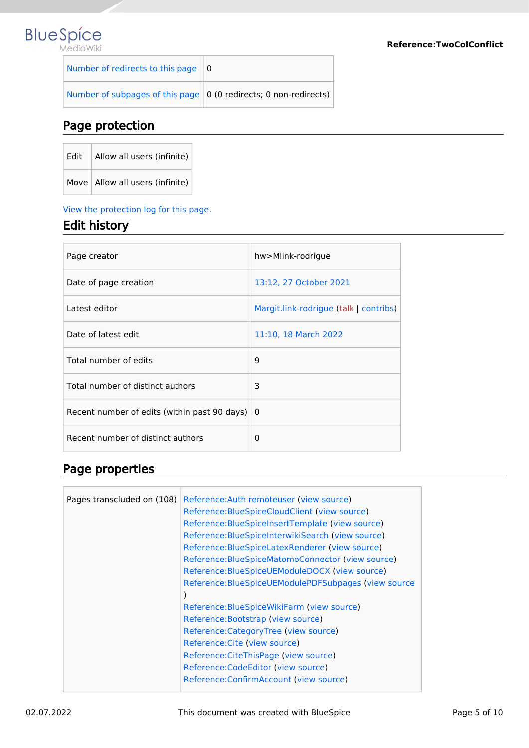# **Blue** Spice

| Number of redirects to this page $\vert 0 \rangle$                 |  |
|--------------------------------------------------------------------|--|
| Number of subpages of this page   0 (0 redirects; 0 non-redirects) |  |

#### Page protection

| Edit $ $ Allow all users (infinite) |
|-------------------------------------|
| Move   Allow all users (infinite)   |

#### [View the protection log for this page.](https://en.wiki.bluespice.com/w/index.php?title=Special:Log&type=protect&page=Template%3ABSExtensionInfobox)

#### Edit history

| Page creator                                 | hw>Mlink-rodrigue                      |
|----------------------------------------------|----------------------------------------|
| Date of page creation                        | 13:12, 27 October 2021                 |
| Latest editor                                | Margit.link-rodrigue (talk   contribs) |
| Date of latest edit                          | 11:10, 18 March 2022                   |
| Total number of edits                        | 9                                      |
| Total number of distinct authors             | 3                                      |
| Recent number of edits (within past 90 days) | 0                                      |
| Recent number of distinct authors            | 0                                      |

#### Page properties

| Reference: Auth remoteuser (view source)<br>Pages transcluded on (108)<br>Reference: Blue Spice Cloud Client (view source)<br>Reference: Blue Spice Insert Template (view source)<br>Reference: Blue Spice Interwiki Search (view source)<br>Reference: Blue Spice Latex Renderer (view source)<br>Reference: Blue Spice Matomo Connector (view source)<br>Reference: Blue Spice UEModule DOCX (view source)<br>Reference: Blue Spice UEModule PDF Subpages (view source<br>Reference: Blue Spice Wiki Farm (view source)<br>Reference: Bootstrap (view source)<br>Reference:CategoryTree (view source)<br>Reference: Cite (view source)<br>Reference: Cite This Page (view source)<br>Reference: Code Editor (view source)<br>Reference: Confirm Account (view source) |  |  |
|-------------------------------------------------------------------------------------------------------------------------------------------------------------------------------------------------------------------------------------------------------------------------------------------------------------------------------------------------------------------------------------------------------------------------------------------------------------------------------------------------------------------------------------------------------------------------------------------------------------------------------------------------------------------------------------------------------------------------------------------------------------------------|--|--|
|-------------------------------------------------------------------------------------------------------------------------------------------------------------------------------------------------------------------------------------------------------------------------------------------------------------------------------------------------------------------------------------------------------------------------------------------------------------------------------------------------------------------------------------------------------------------------------------------------------------------------------------------------------------------------------------------------------------------------------------------------------------------------|--|--|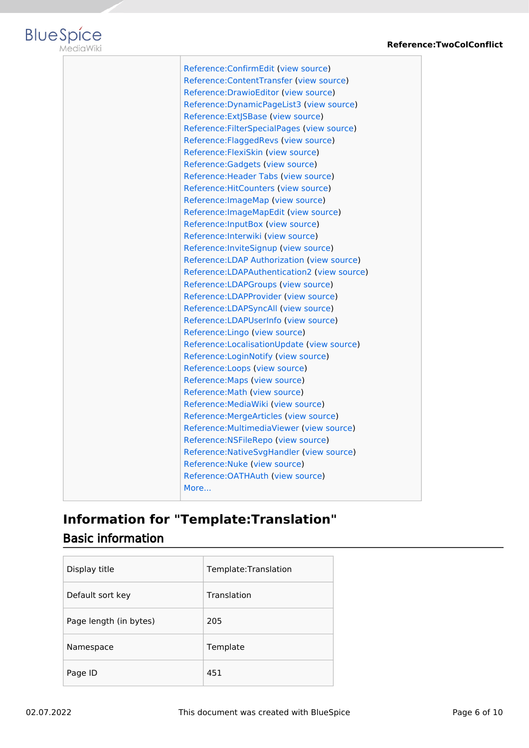

| Reference:ConfirmEdit (view source)           |
|-----------------------------------------------|
| Reference:ContentTransfer (view source)       |
| Reference: Drawio Editor (view source)        |
| Reference: Dynamic PageList 3 (view source)   |
| Reference: ExtJSBase (view source)            |
| Reference: Filter Special Pages (view source) |
| Reference: Flagged Revs (view source)         |
| Reference: FlexiSkin (view source)            |
| Reference: Gadgets (view source)              |
| Reference: Header Tabs (view source)          |
| Reference: Hit Counters (view source)         |
| Reference: ImageMap (view source)             |
| Reference: ImageMapEdit (view source)         |
| Reference: InputBox (view source)             |
| Reference: Interwiki (view source)            |
| Reference: InviteSignup (view source)         |
| Reference: LDAP Authorization (view source)   |
| Reference: LDAPAuthentication 2 (view source) |
| Reference:LDAPGroups (view source)            |
| Reference:LDAPProvider (view source)          |
| Reference:LDAPSyncAll (view source)           |
| Reference:LDAPUserInfo (view source)          |
| Reference: Lingo (view source)                |
| Reference:LocalisationUpdate (view source)    |
| Reference:LoginNotify (view source)           |
| Reference:Loops (view source)                 |
| Reference: Maps (view source)                 |
| Reference: Math (view source)                 |
| Reference: Media Wiki (view source)           |
| Reference: MergeArticles (view source)        |
| Reference: Multimedia Viewer (view source)    |
| Reference: NSFileRepo (view source)           |
| Reference: Native Svg Handler (view source)   |
| Reference: Nuke (view source)                 |
| Reference: OATHAuth (view source)             |
| More                                          |
|                                               |

# <span id="page-5-0"></span>**Information for "Template:Translation"** Basic information

| Display title          | Template:Translation |
|------------------------|----------------------|
| Default sort key       | Translation          |
| Page length (in bytes) | 205                  |
| Namespace              | Template             |
| Page ID                | 451                  |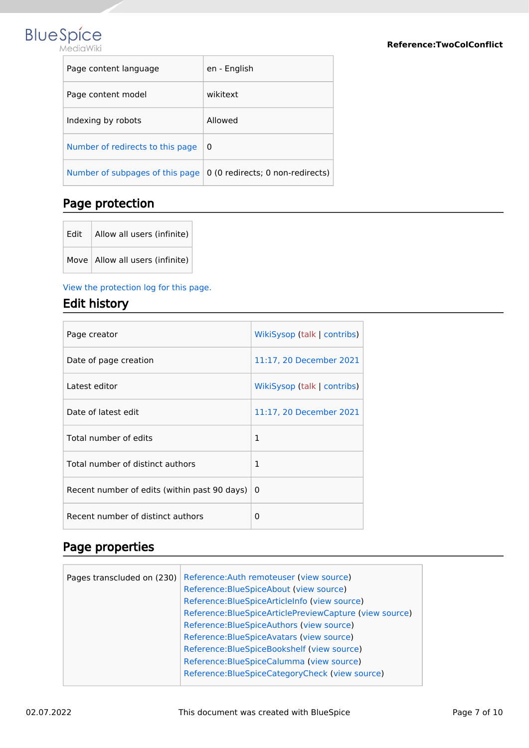

| Page content language            | en - English                     |
|----------------------------------|----------------------------------|
| Page content model               | wikitext                         |
| Indexing by robots               | Allowed                          |
| Number of redirects to this page | 0                                |
| Number of subpages of this page  | 0 (0 redirects; 0 non-redirects) |

#### Page protection

| Fdit | Allow all users (infinite)        |
|------|-----------------------------------|
|      | Move   Allow all users (infinite) |

[View the protection log for this page.](https://en.wiki.bluespice.com/w/index.php?title=Special:Log&type=protect&page=Template%3ATranslation)

#### Edit history

| Page creator                                 | WikiSysop (talk   contribs) |
|----------------------------------------------|-----------------------------|
| Date of page creation                        | 11:17, 20 December 2021     |
| Latest editor                                | WikiSysop (talk   contribs) |
| Date of latest edit                          | 11:17, 20 December 2021     |
| Total number of edits                        | $\mathbf{1}$                |
| Total number of distinct authors             | 1                           |
| Recent number of edits (within past 90 days) | 0                           |
| Recent number of distinct authors            | 0                           |

#### Page properties

| Pages transcluded on (230) | Reference: Auth remoteuser (view source)                    |
|----------------------------|-------------------------------------------------------------|
|                            | Reference: Blue Spice About (view source)                   |
|                            | Reference: Blue Spice Article Info (view source)            |
|                            | Reference: Blue Spice Article Preview Capture (view source) |
|                            | Reference: Blue Spice Authors (view source)                 |
|                            | Reference: Blue Spice Avatars (view source)                 |
|                            | Reference: Blue Spice Bookshelf (view source)               |
|                            | Reference: Blue Spice Calumma (view source)                 |
|                            | Reference: Blue Spice Category Check (view source)          |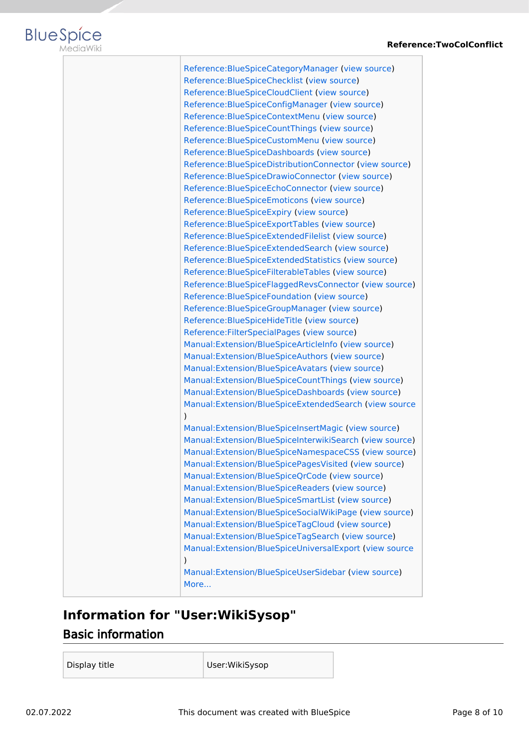



| Reference: Blue Spice Category Manager (view source)       |
|------------------------------------------------------------|
| Reference: Blue Spice Checklist (view source)              |
| Reference: Blue Spice Cloud Client (view source)           |
| Reference: Blue Spice Config Manager (view source)         |
| Reference: Blue Spice Context Menu (view source)           |
| Reference: Blue Spice Count Things (view source)           |
| Reference: Blue Spice Custom Menu (view source)            |
| Reference: Blue Spice Dashboards (view source)             |
| Reference: Blue Spice Distribution Connector (view source) |
| Reference: Blue Spice Drawio Connector (view source)       |
| Reference: Blue Spice Echo Connector (view source)         |
| Reference: Blue Spice Emoticons (view source)              |
| Reference: Blue Spice Expiry (view source)                 |
| Reference: Blue Spice Export Tables (view source)          |
| Reference: Blue Spice Extended Filelist (view source)      |
| Reference: Blue Spice Extended Search (view source)        |
| Reference: Blue Spice Extended Statistics (view source)    |
| Reference: Blue Spice Filterable Tables (view source)      |
| Reference: Blue Spice Flagged Revs Connector (view source) |
| Reference: Blue Spice Foundation (view source)             |
| Reference: Blue Spice Group Manager (view source)          |
| Reference: Blue Spice Hide Title (view source)             |
| Reference: Filter Special Pages (view source)              |
| Manual:Extension/BlueSpiceArticleInfo (view source)        |
| Manual: Extension/BlueSpiceAuthors (view source)           |
| Manual: Extension/BlueSpiceAvatars (view source)           |
| Manual:Extension/BlueSpiceCountThings (view source)        |
| Manual:Extension/BlueSpiceDashboards (view source)         |
| Manual:Extension/BlueSpiceExtendedSearch (view source      |
| $\mathcal{E}$                                              |
| Manual: Extension/BlueSpiceInsertMagic (view source)       |
| Manual:Extension/BlueSpiceInterwikiSearch (view source)    |
| Manual:Extension/BlueSpiceNamespaceCSS (view source)       |
| Manual:Extension/BlueSpicePagesVisited (view source)       |
| Manual: Extension/BlueSpiceQrCode (view source)            |
| Manual:Extension/BlueSpiceReaders (view source)            |
| Manual: Extension/BlueSpiceSmartList (view source)         |
| Manual:Extension/BlueSpiceSocialWikiPage (view source)     |
| Manual:Extension/BlueSpiceTagCloud (view source)           |
| Manual:Extension/BlueSpiceTagSearch (view source)          |
| Manual:Extension/BlueSpiceUniversalExport (view source     |
| $\mathcal{C}$                                              |
| Manual:Extension/BlueSpiceUserSidebar (view source)        |
| More                                                       |
|                                                            |

### <span id="page-7-0"></span>**Information for "User:WikiSysop"** Basic information

Display title User:WikiSysop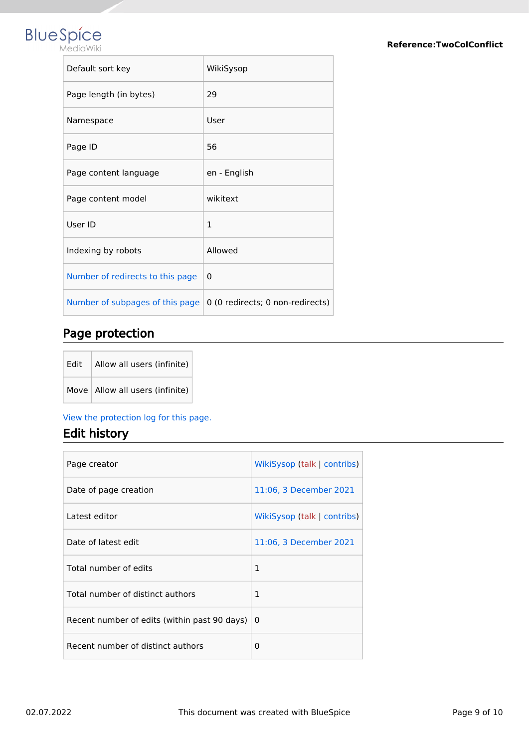# **BlueSpice**

| Default sort key                 | WikiSysop                        |
|----------------------------------|----------------------------------|
| Page length (in bytes)           | 29                               |
| Namespace                        | User                             |
| Page ID                          | 56                               |
| Page content language            | en - English                     |
| Page content model               | wikitext                         |
| User ID                          | 1                                |
| Indexing by robots               | Allowed                          |
| Number of redirects to this page | 0                                |
| Number of subpages of this page  | 0 (0 redirects; 0 non-redirects) |

#### Page protection

| Edit $\vert$ Allow all users (infinite) |
|-----------------------------------------|
| Move   Allow all users (infinite)       |

#### [View the protection log for this page.](https://en.wiki.bluespice.com/w/index.php?title=Special:Log&type=protect&page=User%3AWikiSysop)

#### Edit history

| Page creator                                 | WikiSysop (talk   contribs) |
|----------------------------------------------|-----------------------------|
| Date of page creation                        | 11:06, 3 December 2021      |
| Latest editor                                | WikiSysop (talk   contribs) |
| Date of latest edit                          | 11:06, 3 December 2021      |
| Total number of edits                        | $\mathbf{1}$                |
| Total number of distinct authors             | 1                           |
| Recent number of edits (within past 90 days) | 0                           |
| Recent number of distinct authors            | 0                           |